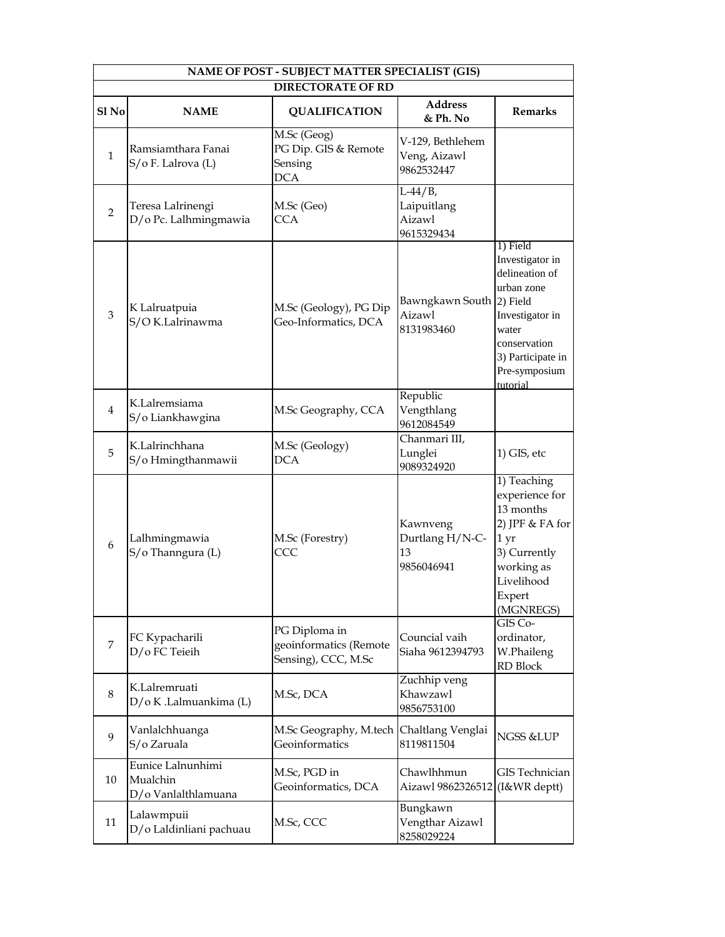| NAME OF POST - SUBJECT MATTER SPECIALIST (GIS) |                                                      |                                                                                  |                                                   |                                                                                                                                                           |
|------------------------------------------------|------------------------------------------------------|----------------------------------------------------------------------------------|---------------------------------------------------|-----------------------------------------------------------------------------------------------------------------------------------------------------------|
|                                                |                                                      | <b>DIRECTORATE OF RD</b>                                                         |                                                   |                                                                                                                                                           |
| Sl <sub>No</sub>                               | <b>NAME</b>                                          | <b>QUALIFICATION</b>                                                             | <b>Address</b><br>& Ph. No                        | <b>Remarks</b>                                                                                                                                            |
| $\mathbf{1}$                                   | Ramsiamthara Fanai<br>S/o F. Lalrova (L)             | $\overline{\text{M.Sc}}$ (Geog)<br>PG Dip. GIS & Remote<br>Sensing<br><b>DCA</b> | V-129, Bethlehem<br>Veng, Aizawl<br>9862532447    |                                                                                                                                                           |
| $\overline{2}$                                 | Teresa Lalrinengi<br>D/o Pc. Lalhmingmawia           | M.Sc (Geo)<br><b>CCA</b>                                                         | $L-44/B$ ,<br>Laipuitlang<br>Aizawl<br>9615329434 |                                                                                                                                                           |
| 3                                              | K Lalruatpuia<br>S/O K.Lalrinawma                    | M.Sc (Geology), PG Dip<br>Geo-Informatics, DCA                                   | Bawngkawn South 2) Field<br>Aizawl<br>8131983460  | 1) Field<br>Investigator in<br>delineation of<br>urban zone<br>Investigator in<br>water<br>conservation<br>3) Participate in<br>Pre-symposium<br>tutorial |
| $\overline{4}$                                 | K.Lalremsiama<br>S/o Liankhawgina                    | M.Sc Geography, CCA                                                              | Republic<br>Vengthlang<br>9612084549              |                                                                                                                                                           |
| 5                                              | K.Lalrinchhana<br>S/o Hmingthanmawii                 | M.Sc (Geology)<br><b>DCA</b>                                                     | Chanmari III,<br>Lunglei<br>9089324920            | 1) GIS, etc                                                                                                                                               |
| 6                                              | Lalhmingmawia<br>S/o Thanngura (L)                   | M.Sc (Forestry)<br>CCC                                                           | Kawnveng<br>Durtlang H/N-C-<br>13<br>9856046941   | 1) Teaching<br>experience for<br>13 months<br>2) JPF & FA for<br>1 yr<br>3) Currently<br>working as<br>Livelihood<br>Expert<br>(MGNREGS)                  |
| 7                                              | FC Kypacharili<br>D/o FC Teieih                      | PG Diploma in<br>geoinformatics (Remote<br>Sensing), CCC, M.Sc                   | Councial vaih<br>Siaha 9612394793                 | $GIS$ Co-<br>ordinator,<br>W.Phaileng<br>RD Block                                                                                                         |
| 8                                              | K.Lalremruati<br>D/o K .Lalmuankima (L)              | M.Sc, DCA                                                                        | Zuchhip veng<br>Khawzawl<br>9856753100            |                                                                                                                                                           |
| 9                                              | Vanlalchhuanga<br>S/o Zaruala                        | M.Sc Geography, M.tech<br>Geoinformatics                                         | Chaltlang Venglai<br>8119811504                   | NGSS &LUP                                                                                                                                                 |
| 10                                             | Eunice Lalnunhimi<br>Mualchin<br>D/o Vanlalthlamuana | M.Sc, PGD in<br>Geoinformatics, DCA                                              | Chawlhhmun<br>Aizawl 9862326512 (I&WR deptt)      | <b>GIS</b> Technician                                                                                                                                     |
| 11                                             | Lalawmpuii<br>D/o Laldinliani pachuau                | M.Sc, CCC                                                                        | Bungkawn<br>Vengthar Aizawl<br>8258029224         |                                                                                                                                                           |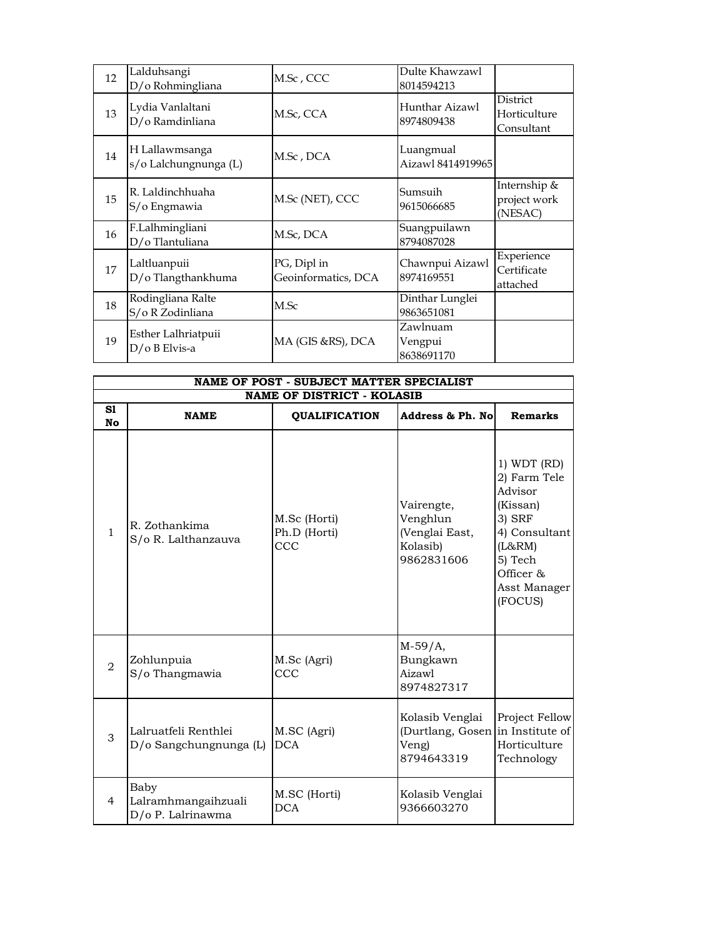| 12 | Lalduhsangi<br>D/o Rohmingliana         | M.Sc, CCC                          | Dulte Khawzawl<br>8014594213      |                                         |
|----|-----------------------------------------|------------------------------------|-----------------------------------|-----------------------------------------|
| 13 | Lydia Vanlaltani<br>D/o Ramdinliana     | M.Sc, CCA                          | Hunthar Aizawl<br>8974809438      | District<br>Horticulture<br>Consultant  |
| 14 | H Lallawmsanga<br>s/o Lalchungnunga (L) | M.Sc , DCA                         | Luangmual<br>Aizawl 8414919965    |                                         |
| 15 | R. Laldinchhuaha<br>S/o Engmawia        | M.Sc (NET), CCC                    | Sumsuih<br>9615066685             | Internship &<br>project work<br>(NESAC) |
| 16 | F.Lalhmingliani<br>D/o Tlantuliana      | M.Sc, DCA                          | Suangpuilawn<br>8794087028        |                                         |
| 17 | Laltluanpuii<br>D/o Tlangthankhuma      | PG, Dipl in<br>Geoinformatics, DCA | Chawnpui Aizawl<br>8974169551     | Experience<br>Certificate<br>attached   |
| 18 | Rodingliana Ralte<br>S/o R Zodinliana   | M.Sc                               | Dinthar Lunglei<br>9863651081     |                                         |
| 19 | Esther Lalhriatpuii<br>D/o B Elvis-a    | MA (GIS &RS), DCA                  | Zawlnuam<br>Vengpui<br>8638691170 |                                         |

| NAME OF POST - SUBJECT MATTER SPECIALIST |                                                  |                                                           |                                                                            |                                                                                                                                            |
|------------------------------------------|--------------------------------------------------|-----------------------------------------------------------|----------------------------------------------------------------------------|--------------------------------------------------------------------------------------------------------------------------------------------|
| S1<br><b>No</b>                          | <b>NAME</b>                                      | <b>NAME OF DISTRICT - KOLASIB</b><br><b>QUALIFICATION</b> | Address & Ph. No                                                           | <b>Remarks</b>                                                                                                                             |
| $\mathbf{1}$                             | R. Zothankima<br>S/o R. Lalthanzauva             | M.Sc (Horti)<br>Ph.D (Horti)<br>ccc                       | Vairengte,<br>Venghlun<br>(Venglai East,<br>Kolasib)<br>9862831606         | 1) WDT (RD)<br>2) Farm Tele<br>Advisor<br>(Kissan)<br>3) SRF<br>4) Consultant<br>(L&RM)<br>5) Tech<br>Officer &<br>Asst Manager<br>(FOCUS) |
| $\overline{2}$                           | Zohlunpuia<br>S/o Thangmawia                     | M.Sc (Agri)<br>ccc                                        | $M-59/A,$<br>Bungkawn<br>Aizawl<br>8974827317                              |                                                                                                                                            |
| 3                                        | Lalruatfeli Renthlei<br>D/o Sangchungnunga (L)   | M.SC (Agri)<br><b>DCA</b>                                 | Kolasib Venglai<br>(Durtlang, Gosen in Institute of<br>Veng)<br>8794643319 | Project Fellow<br>Horticulture<br>Technology                                                                                               |
| 4                                        | Baby<br>Lalramhmangaihzuali<br>D/o P. Lalrinawma | M.SC (Horti)<br>DCA                                       | Kolasib Venglai<br>9366603270                                              |                                                                                                                                            |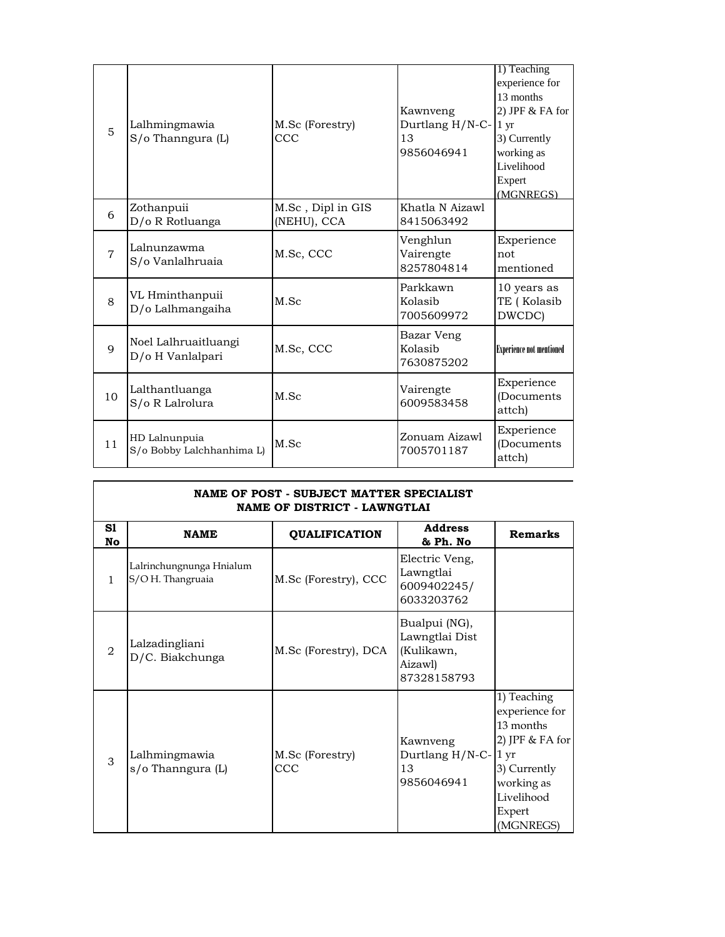| 5              | Lalhmingmawia<br>S/o Thanngura (L)         | M.Sc (Forestry)<br>ccc           | Kawnveng<br>Durtlang H/N-C-<br>13<br>9856046941 | 1) Teaching<br>experience for<br>13 months<br>$2)$ JPF $&$ FA for<br>$1 \mathrm{yr}$<br>3) Currently<br>working as<br>Livelihood<br>Expert<br>(MGNREGS) |
|----------------|--------------------------------------------|----------------------------------|-------------------------------------------------|---------------------------------------------------------------------------------------------------------------------------------------------------------|
| 6              | Zothanpuii<br>D/o R Rotluanga              | M.Sc, Dipl in GIS<br>(NEHU), CCA | Khatla N Aizawl<br>8415063492                   |                                                                                                                                                         |
| $\overline{7}$ | Lalnunzawma<br>S/o Vanlalhruaia            | M.Sc, CCC                        | Venghlun<br>Vairengte<br>8257804814             | Experience<br>not<br>mentioned                                                                                                                          |
| 8              | VL Hminthanpuii<br>D/o Lalhmangaiha        | M.Sc                             | Parkkawn<br>Kolasib<br>7005609972               | 10 years as<br>TE (Kolasib<br>DWCDC)                                                                                                                    |
| 9              | Noel Lalhruaitluangi<br>D/o H Vanlalpari   | M.Sc, CCC                        | Bazar Veng<br>Kolasib<br>7630875202             | <b>Experience not mentioned</b>                                                                                                                         |
| 10             | Lalthantluanga<br>S/o R Lalrolura          | M.Sc                             | Vairengte<br>6009583458                         | Experience<br>(Documents<br>attch)                                                                                                                      |
| 11             | HD Lalnunpuia<br>S/o Bobby Lalchhanhima L) | M.Sc                             | Zonuam Aizawl<br>7005701187                     | Experience<br>(Documents<br>attch)                                                                                                                      |

| NAME OF POST - SUBJECT MATTER SPECIALIST<br>NAME OF DISTRICT - LAWNGTLAI |                                              |                        |                                                                         |                                                                                                                                                     |
|--------------------------------------------------------------------------|----------------------------------------------|------------------------|-------------------------------------------------------------------------|-----------------------------------------------------------------------------------------------------------------------------------------------------|
| S1<br>No                                                                 | <b>NAME</b>                                  | <b>QUALIFICATION</b>   | <b>Address</b><br>& Ph. No                                              | <b>Remarks</b>                                                                                                                                      |
| 1.                                                                       | Lalrinchungnunga Hnialum<br>S/OH. Thangruaia | M.Sc (Forestry), CCC   | Electric Veng,<br>Lawngtlai<br>6009402245/<br>6033203762                |                                                                                                                                                     |
| $\mathfrak{D}_{1}$                                                       | Lalzadingliani<br>D/C. Biakchunga            | M.Sc (Forestry), DCA   | Bualpui (NG),<br>Lawngtlai Dist<br>(Kulikawn,<br>Aizawl)<br>87328158793 |                                                                                                                                                     |
| 3                                                                        | Lalhmingmawia<br>s/o Thanngura (L)           | M.Sc (Forestry)<br>CCC | Kawnveng<br>Durtlang H/N-C-<br>13<br>9856046941                         | 1) Teaching<br>experience for<br>13 months<br>2) JPF & FA for<br>1 <sub>yr</sub><br>3) Currently<br>working as<br>Livelihood<br>Expert<br>(MGNREGS) |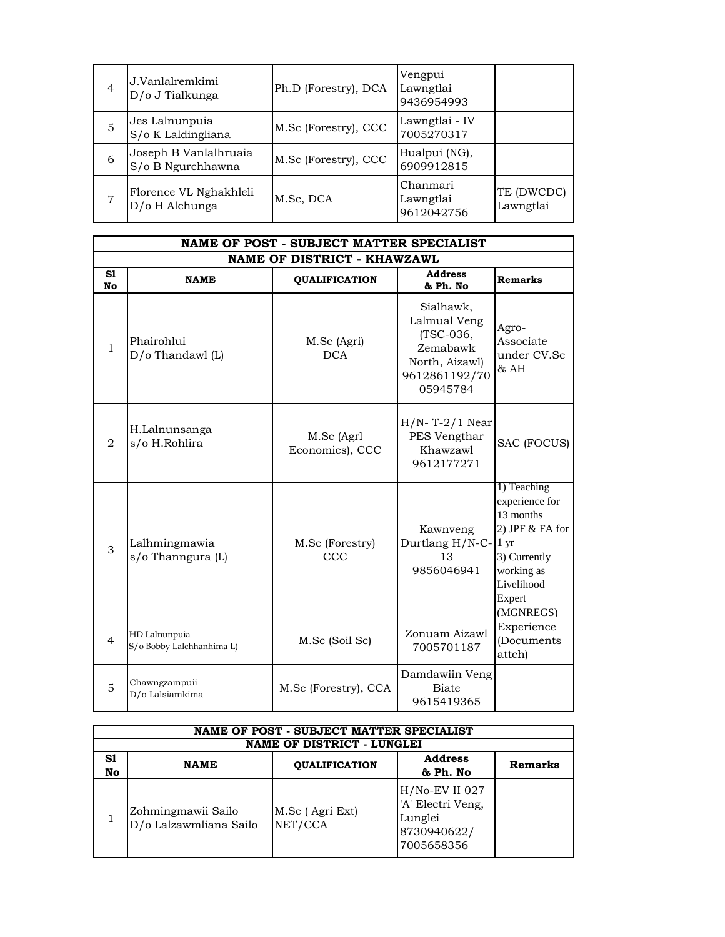| 4 | J.Vanlalremkimi<br>D/o J Tialkunga         | Ph.D (Forestry), DCA | Vengpui<br>Lawngtlai<br>9436954993  |                         |
|---|--------------------------------------------|----------------------|-------------------------------------|-------------------------|
| 5 | Jes Lalnunpuia<br>S/o K Laldingliana       | M.Sc (Forestry), CCC | Lawngtlai - IV<br>7005270317        |                         |
| 6 | Joseph B Vanlalhruaia<br>S/o B Ngurchhawna | M.Sc (Forestry), CCC | Bualpui (NG),<br>6909912815         |                         |
| 7 | Florence VL Nghakhleli<br>D/o H Alchunga   | M.Sc, DCA            | Chanmari<br>Lawngtlai<br>9612042756 | TE (DWCDC)<br>Lawngtlai |

|                 | NAME OF POST - SUBJECT MATTER SPECIALIST   |                                    |                                                                                                   |                                                                                                                                               |  |
|-----------------|--------------------------------------------|------------------------------------|---------------------------------------------------------------------------------------------------|-----------------------------------------------------------------------------------------------------------------------------------------------|--|
|                 |                                            | <b>NAME OF DISTRICT - KHAWZAWL</b> |                                                                                                   |                                                                                                                                               |  |
| S1<br><b>No</b> | <b>NAME</b>                                | <b>QUALIFICATION</b>               | <b>Address</b><br>& Ph. No                                                                        | <b>Remarks</b>                                                                                                                                |  |
| $\mathbf{1}$    | Phairohlui<br>$D/O$ Thandawl $(L)$         | M.Sc (Agri)<br><b>DCA</b>          | Sialhawk,<br>Lalmual Veng<br>(TSC-036,<br>Zemabawk<br>North, Aizawl)<br>9612861192/70<br>05945784 | Agro-<br>Associate<br>under CV.Sc<br>& AH                                                                                                     |  |
| 2               | H.Lalnunsanga<br>s/o H.Rohlira             | M.Sc (Agrl<br>Economics), CCC      | $H/N$ - T-2/1 Near<br>PES Vengthar<br>Khawzawl<br>9612177271                                      | SAC (FOCUS)                                                                                                                                   |  |
| 3               | Lalhmingmawia<br>s/o Thanngura (L)         | M.Sc (Forestry)<br>CCC             | Kawnveng<br>Durtlang H/N-C-<br>13<br>9856046941                                                   | 1) Teaching<br>experience for<br>13 months<br>2) JPF & FA for<br>$1 \, yr$<br>3) Currently<br>working as<br>Livelihood<br>Expert<br>(MGNREGS) |  |
| $\overline{4}$  | HD Lalnunpuia<br>S/o Bobby Lalchhanhima L) | M.Sc (Soil Sc)                     | Zonuam Aizawl<br>7005701187                                                                       | Experience<br>(Documents<br>attch)                                                                                                            |  |
| 5               | Chawngzampuii<br>D/o Lalsiamkima           | M.Sc (Forestry), CCA               | Damdawiin Veng<br><b>Biate</b><br>9615419365                                                      |                                                                                                                                               |  |

|          | NAME OF POST - SUBJECT MATTER SPECIALIST     |                            |                                                                                |         |
|----------|----------------------------------------------|----------------------------|--------------------------------------------------------------------------------|---------|
|          |                                              | NAME OF DISTRICT - LUNGLEI |                                                                                |         |
| S1<br>No | <b>NAME</b>                                  | <b>QUALIFICATION</b>       | <b>Address</b><br>& Ph. No                                                     | Remarks |
|          | Zohmingmawii Sailo<br>D/o Lalzawmliana Sailo | M.Sc (Agri Ext)<br>NET/CCA | $H/No$ -EV II 027<br>'A' Electri Veng,<br>Lunglei<br>8730940622/<br>7005658356 |         |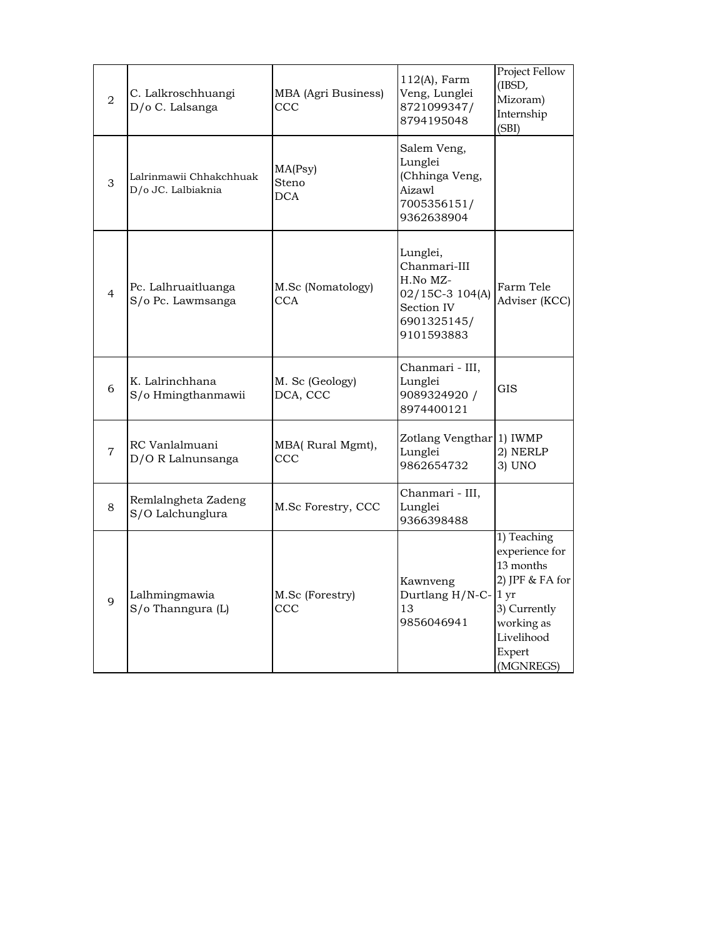| 2              | C. Lalkroschhuangi<br>D/o C. Lalsanga         | MBA (Agri Business)<br>ccc      | $112(A)$ , Farm<br>Veng, Lunglei<br>8721099347/<br>8794195048                                      | Project Fellow<br>(IBSD,<br>Mizoram)<br>Internship<br>(SBI)                                                                              |
|----------------|-----------------------------------------------|---------------------------------|----------------------------------------------------------------------------------------------------|------------------------------------------------------------------------------------------------------------------------------------------|
| 3              | Lalrinmawii Chhakchhuak<br>D/o JC. Lalbiaknia | MA(Psy)<br>Steno<br><b>DCA</b>  | Salem Veng,<br>Lunglei<br>(Chhinga Veng,<br>Aizawl<br>7005356151/<br>9362638904                    |                                                                                                                                          |
| $\overline{4}$ | Pc. Lalhruaitluanga<br>S/o Pc. Lawmsanga      | M.Sc (Nomatology)<br><b>CCA</b> | Lunglei,<br>Chanmari-III<br>H.No MZ-<br>02/15C-3 104(A)<br>Section IV<br>6901325145/<br>9101593883 | Farm Tele<br>Adviser (KCC)                                                                                                               |
| 6              | K. Lalrinchhana<br>S/o Hmingthanmawii         | M. Sc (Geology)<br>DCA, CCC     | Chanmari - III,<br>Lunglei<br>9089324920 /<br>8974400121                                           | <b>GIS</b>                                                                                                                               |
| $\overline{7}$ | RC Vanlalmuani<br>D/O R Lalnunsanga           | MBA(Rural Mgmt),<br>CCC         | Zotlang Vengthar 1) IWMP<br>Lunglei<br>9862654732                                                  | 2) NERLP<br>3) UNO                                                                                                                       |
| 8              | Remlalngheta Zadeng<br>S/O Lalchunglura       | M.Sc Forestry, CCC              | Chanmari - III,<br>Lunglei<br>9366398488                                                           |                                                                                                                                          |
| 9              | Lalhmingmawia<br>S/o Thanngura (L)            | M.Sc (Forestry)<br>ccc          | Kawnveng<br>Durtlang H/N-C-<br>13<br>9856046941                                                    | 1) Teaching<br>experience for<br>13 months<br>2) JPF & FA for<br>1 yr<br>3) Currently<br>working as<br>Livelihood<br>Expert<br>(MGNREGS) |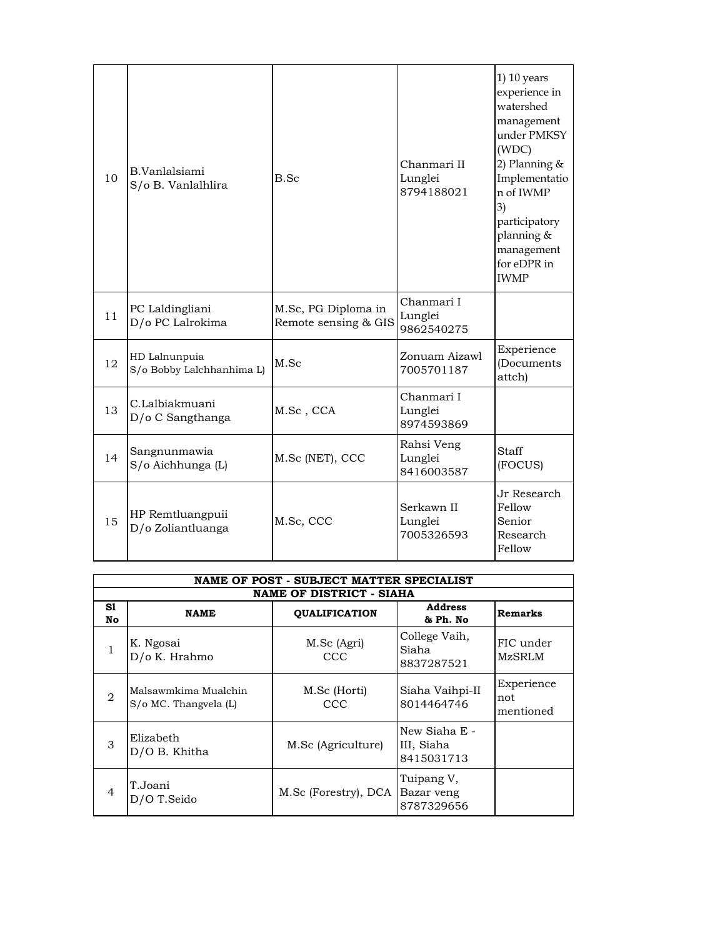| 10 | B.Vanlalsiami<br>S/o B. Vanlalhlira        | B.Sc                                        | Chanmari II<br>Lunglei<br>8794188021 | $1)$ 10 years<br>experience in<br>watershed<br>management<br>under PMKSY<br>(WDC)<br>2) Planning $&$<br>Implementatio<br>n of IWMP<br>3)<br>participatory<br>planning &<br>management<br>for eDPR in<br><b>IWMP</b> |
|----|--------------------------------------------|---------------------------------------------|--------------------------------------|---------------------------------------------------------------------------------------------------------------------------------------------------------------------------------------------------------------------|
| 11 | PC Laldingliani<br>D/o PC Lalrokima        | M.Sc, PG Diploma in<br>Remote sensing & GIS | Chanmari I<br>Lunglei<br>9862540275  |                                                                                                                                                                                                                     |
| 12 | HD Lalnunpuia<br>S/o Bobby Lalchhanhima L) | M.Sc                                        | Zonuam Aizawl<br>7005701187          | Experience<br>(Documents<br>attch)                                                                                                                                                                                  |
| 13 | C.Lalbiakmuani<br>D/o C Sangthanga         | M.Sc, CCA                                   | Chanmari I<br>Lunglei<br>8974593869  |                                                                                                                                                                                                                     |
| 14 | Sangnunmawia<br>S/o Aichhunga (L)          | M.Sc (NET), CCC                             | Rahsi Veng<br>Lunglei<br>8416003587  | Staff<br>(FOCUS)                                                                                                                                                                                                    |
| 15 | HP Remtluangpuii<br>D/o Zoliantluanga      | M.Sc, CCC                                   | Serkawn II<br>Lunglei<br>7005326593  | Jr Research<br>Fellow<br>Senior<br>Research<br>Fellow                                                                                                                                                               |

|                | NAME OF POST - SUBJECT MATTER SPECIALIST      |                      |                                           |                                |  |
|----------------|-----------------------------------------------|----------------------|-------------------------------------------|--------------------------------|--|
|                | <b>NAME OF DISTRICT - SIAHA</b>               |                      |                                           |                                |  |
| S1<br>No       | <b>NAME</b>                                   | <b>OUALIFICATION</b> | <b>Address</b><br>& Ph. No                | Remarks                        |  |
| 1              | K. Ngosai<br>D/o K. Hrahmo                    | M.Sc (Agri)<br>CCC   | College Vaih,<br>Siaha<br>8837287521      | FIC under<br><b>MzSRLM</b>     |  |
| $\overline{2}$ | Malsawmkima Mualchin<br>S/o MC. Thangvela (L) | M.Sc (Horti)<br>CCC  | Siaha Vaihpi-II<br>8014464746             | Experience<br>not<br>mentioned |  |
| 3              | Elizabeth<br>D/O B. Khitha                    | M.Sc (Agriculture)   | New Siaha E -<br>III, Siaha<br>8415031713 |                                |  |
| $\overline{4}$ | T.Joani<br>D/O T.Seido                        | M.Sc (Forestry), DCA | Tuipang V,<br>Bazar veng<br>8787329656    |                                |  |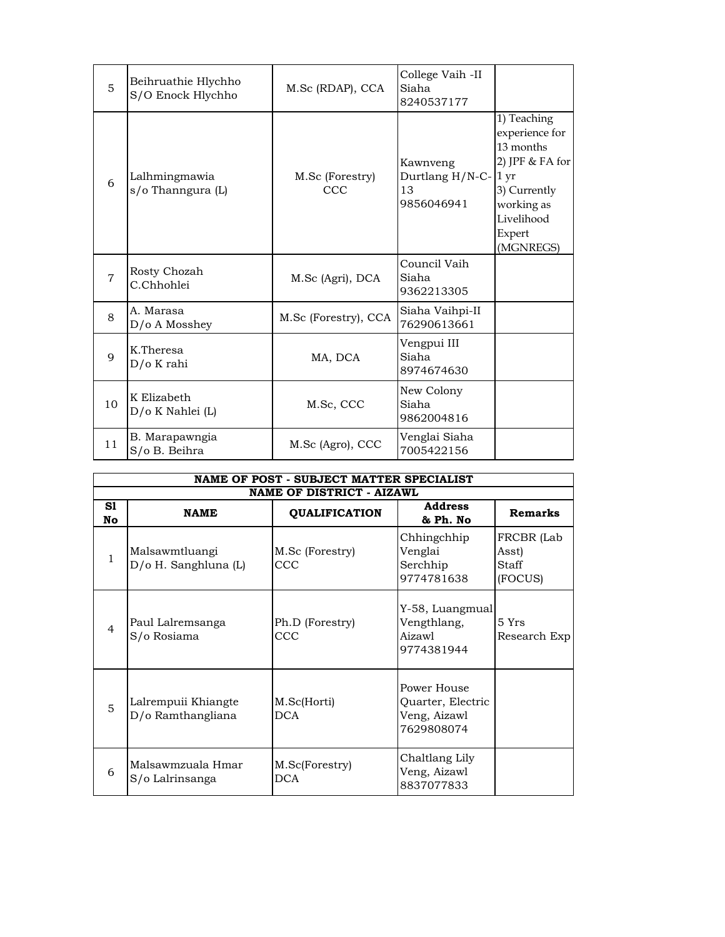| 5              | Beihruathie Hlychho<br>S/O Enock Hlychho | M.Sc (RDAP), CCA       | College Vaih -II<br>Siaha<br>8240537177             |                                                                                                                                  |
|----------------|------------------------------------------|------------------------|-----------------------------------------------------|----------------------------------------------------------------------------------------------------------------------------------|
| 6              | Lalhmingmawia<br>s/o Thanngura (L)       | M.Sc (Forestry)<br>CCC | Kawnveng<br>Durtlang H/N-C-1 yr<br>13<br>9856046941 | 1) Teaching<br>experience for<br>13 months<br>2) JPF & FA for<br>3) Currently<br>working as<br>Livelihood<br>Expert<br>(MGNREGS) |
| $\overline{7}$ | Rosty Chozah<br>C.Chhohlei               | M.Sc (Agri), DCA       | Council Vaih<br>Siaha<br>9362213305                 |                                                                                                                                  |
| 8              | A. Marasa<br>D/o A Mosshey               | M.Sc (Forestry), CCA   | Siaha Vaihpi-II<br>76290613661                      |                                                                                                                                  |
| $\mathbf Q$    | K.Theresa<br>D/o K rahi                  | MA, DCA                | Vengpui III<br>Siaha<br>8974674630                  |                                                                                                                                  |
| 10             | K Elizabeth<br>D/o K Nahlei (L)          | M.Sc, CCC              | New Colony<br>Siaha<br>9862004816                   |                                                                                                                                  |
| 11             | B. Marapawngia<br>S/o B. Beihra          | M.Sc (Agro), CCC       | Venglai Siaha<br>7005422156                         |                                                                                                                                  |

|                | NAME OF POST - SUBJECT MATTER SPECIALIST |                               |                                                                |                                         |  |  |
|----------------|------------------------------------------|-------------------------------|----------------------------------------------------------------|-----------------------------------------|--|--|
|                | <b>NAME OF DISTRICT - AIZAWL</b>         |                               |                                                                |                                         |  |  |
| S1<br>No       | <b>NAME</b>                              | <b>QUALIFICATION</b>          | <b>Address</b><br>& Ph. No                                     | <b>Remarks</b>                          |  |  |
| 1              | Malsawmtluangi<br>D/o H. Sanghluna (L)   | M.Sc (Forestry)<br><b>CCC</b> | Chhingchhip<br>Venglai<br>Serchhip<br>9774781638               | FRCBR (Lab<br>Asst)<br>Staff<br>(FOCUS) |  |  |
| $\overline{4}$ | Paul Lalremsanga<br>S/o Rosiama          | Ph.D (Forestry)<br>CCC        | Y-58, Luangmual<br>Vengthlang,<br>Aizawl<br>9774381944         | 5Yrs<br>Research Exp                    |  |  |
| 5              | Lalrempuii Khiangte<br>D/o Ramthangliana | M.Sc(Horti)<br><b>DCA</b>     | Power House<br>Quarter, Electric<br>Veng, Aizawl<br>7629808074 |                                         |  |  |
| 6              | Malsawmzuala Hmar<br>S/o Lalrinsanga     | M.Sc(Forestry)<br><b>DCA</b>  | Chaltlang Lily<br>Veng, Aizawl<br>8837077833                   |                                         |  |  |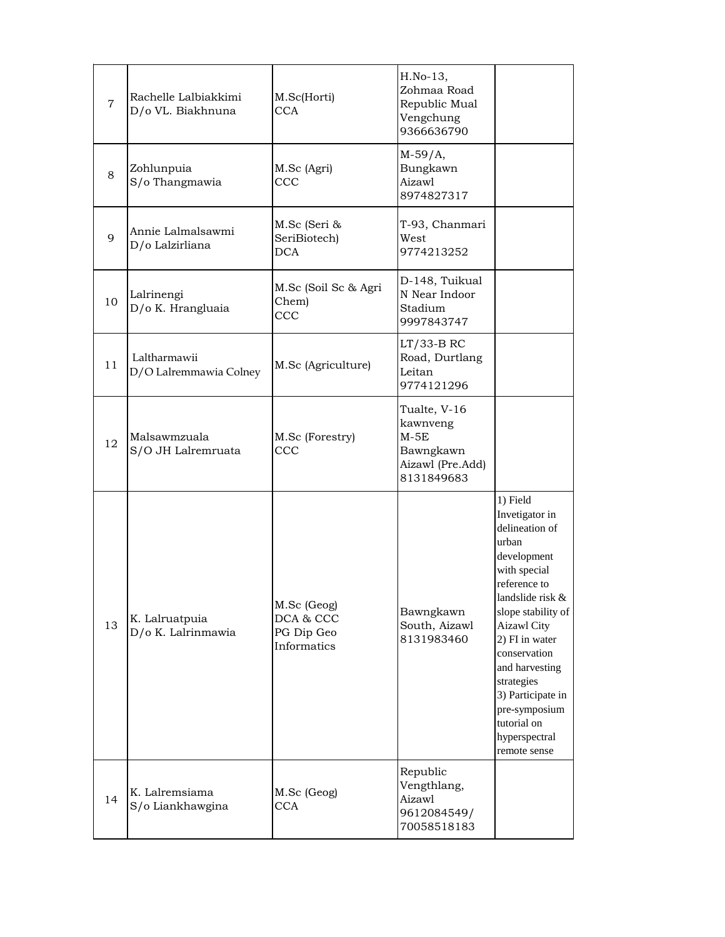| $\overline{7}$ | Rachelle Lalbiakkimi<br>D/o VL. Biakhnuna | M.Sc(Horti)<br><b>CCA</b>                             | H.No-13,<br>Zohmaa Road<br>Republic Mual<br>Vengchung<br>9366636790               |                                                                                                                                                                                                                                                                                                                              |
|----------------|-------------------------------------------|-------------------------------------------------------|-----------------------------------------------------------------------------------|------------------------------------------------------------------------------------------------------------------------------------------------------------------------------------------------------------------------------------------------------------------------------------------------------------------------------|
| 8              | Zohlunpuia<br>S/o Thangmawia              | M.Sc (Agri)<br>CCC                                    | $M-59/A,$<br>Bungkawn<br>Aizawl<br>8974827317                                     |                                                                                                                                                                                                                                                                                                                              |
| 9              | Annie Lalmalsawmi<br>D/o Lalzirliana      | M.Sc (Seri &<br>SeriBiotech)<br><b>DCA</b>            | T-93, Chanmari<br>West<br>9774213252                                              |                                                                                                                                                                                                                                                                                                                              |
| 10             | Lalrinengi<br>D/o K. Hrangluaia           | M.Sc (Soil Sc & Agri<br>Chem)<br>CCC                  | D-148, Tuikual<br>N Near Indoor<br>Stadium<br>9997843747                          |                                                                                                                                                                                                                                                                                                                              |
| 11             | Laltharmawii<br>D/O Lalremmawia Colney    | M.Sc (Agriculture)                                    | LT/33-B RC<br>Road, Durtlang<br>Leitan<br>9774121296                              |                                                                                                                                                                                                                                                                                                                              |
| 12             | Malsawmzuala<br>S/O JH Lalremruata        | M.Sc (Forestry)<br><b>CCC</b>                         | Tualte, V-16<br>kawnveng<br>$M-5E$<br>Bawngkawn<br>Aizawl (Pre.Add)<br>8131849683 |                                                                                                                                                                                                                                                                                                                              |
| 13             | K. Lalruatpuia<br>D/o K. Lalrinmawia      | M.Sc (Geog)<br>DCA & CCC<br>PG Dip Geo<br>Informatics | Bawngkawn<br>South, Aizawl<br>8131983460                                          | 1) Field<br>Invetigator in<br>delineation of<br>urban<br>development<br>with special<br>reference to<br>landslide risk &<br>slope stability of<br><b>Aizawl City</b><br>2) FI in water<br>conservation<br>and harvesting<br>strategies<br>3) Participate in<br>pre-symposium<br>tutorial on<br>hyperspectral<br>remote sense |
| 14             | K. Lalremsiama<br>S/o Liankhawgina        | M.Sc (Geog)<br><b>CCA</b>                             | Republic<br>Vengthlang,<br>Aizawl<br>9612084549/<br>70058518183                   |                                                                                                                                                                                                                                                                                                                              |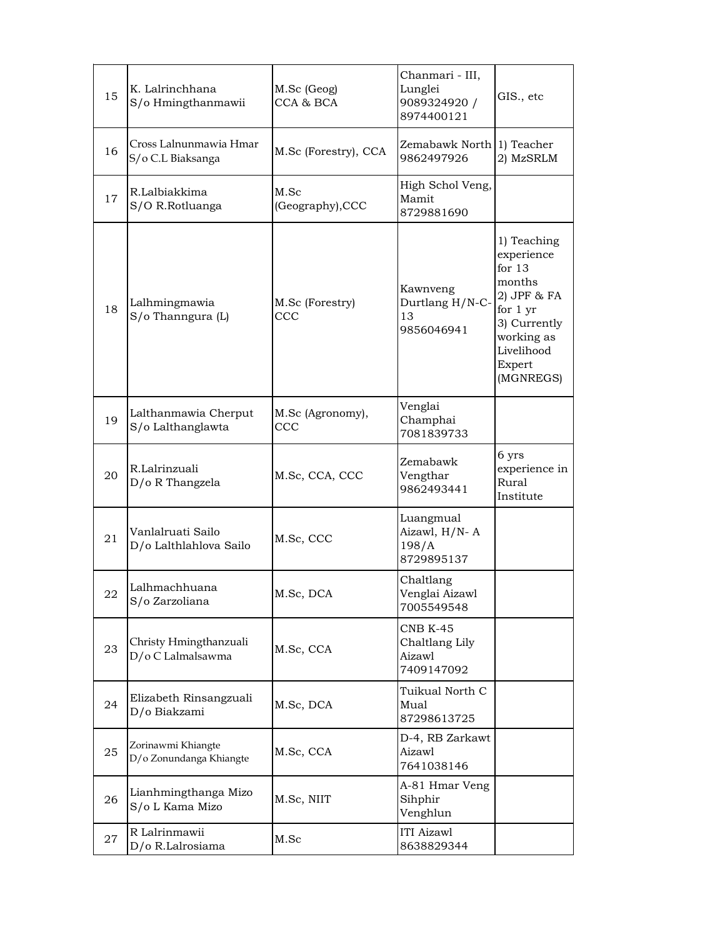| 15 | K. Lalrinchhana<br>S/o Hmingthanmawii         | M.Sc (Geog)<br>CCA & BCA       | Chanmari - III,<br>Lunglei<br>9089324920 /<br>8974400121  | GIS., etc                                                                                                                                     |
|----|-----------------------------------------------|--------------------------------|-----------------------------------------------------------|-----------------------------------------------------------------------------------------------------------------------------------------------|
| 16 | Cross Lalnunmawia Hmar<br>S/o C.L Biaksanga   | M.Sc (Forestry), CCA           | Zemabawk North<br>9862497926                              | 1) Teacher<br>2) MzSRLM                                                                                                                       |
| 17 | R.Lalbiakkima<br>S/O R.Rotluanga              | M.Sc<br>(Geography), CCC       | High Schol Veng,<br>Mamit<br>8729881690                   |                                                                                                                                               |
| 18 | Lalhmingmawia<br>S/o Thanngura (L)            | M.Sc (Forestry)<br><b>CCC</b>  | Kawnveng<br>Durtlang H/N-C-<br>13<br>9856046941           | 1) Teaching<br>experience<br>for $13$<br>months<br>2) JPF & FA<br>for 1 yr<br>3) Currently<br>working as<br>Livelihood<br>Expert<br>(MGNREGS) |
| 19 | Lalthanmawia Cherput<br>S/o Lalthanglawta     | M.Sc (Agronomy),<br><b>CCC</b> | Venglai<br>Champhai<br>7081839733                         |                                                                                                                                               |
| 20 | R.Lalrinzuali<br>D/o R Thangzela              | M.Sc, CCA, CCC                 | Zemabawk<br>Vengthar<br>9862493441                        | 6 yrs<br>experience in<br>Rural<br>Institute                                                                                                  |
| 21 | Vanlalruati Sailo<br>D/o Lalthlahlova Sailo   | M.Sc, CCC                      | Luangmual<br>Aizawl, H/N-A<br>198/A<br>8729895137         |                                                                                                                                               |
| 22 | Lalhmachhuana<br>S/o Zarzoliana               | M.Sc, DCA                      | Chaltlang<br>Venglai Aizawl<br>7005549548                 |                                                                                                                                               |
| 23 | Christy Hmingthanzuali<br>D/o C Lalmalsawma   | M.Sc, CCA                      | <b>CNB K-45</b><br>Chaltlang Lily<br>Aizawl<br>7409147092 |                                                                                                                                               |
| 24 | Elizabeth Rinsangzuali<br>D/o Biakzami        | M.Sc, DCA                      | Tuikual North C<br>Mual<br>87298613725                    |                                                                                                                                               |
| 25 | Zorinawmi Khiangte<br>D/o Zonundanga Khiangte | M.Sc, CCA                      | D-4, RB Zarkawt<br>Aizawl<br>7641038146                   |                                                                                                                                               |
| 26 | Lianhmingthanga Mizo<br>S/o L Kama Mizo       | M.Sc, NIIT                     | A-81 Hmar Veng<br>Sihphir<br>Venghlun                     |                                                                                                                                               |
| 27 | R Lalrinmawii<br>D/o R.Lalrosiama             | M.Sc                           | ITI Aizawl<br>8638829344                                  |                                                                                                                                               |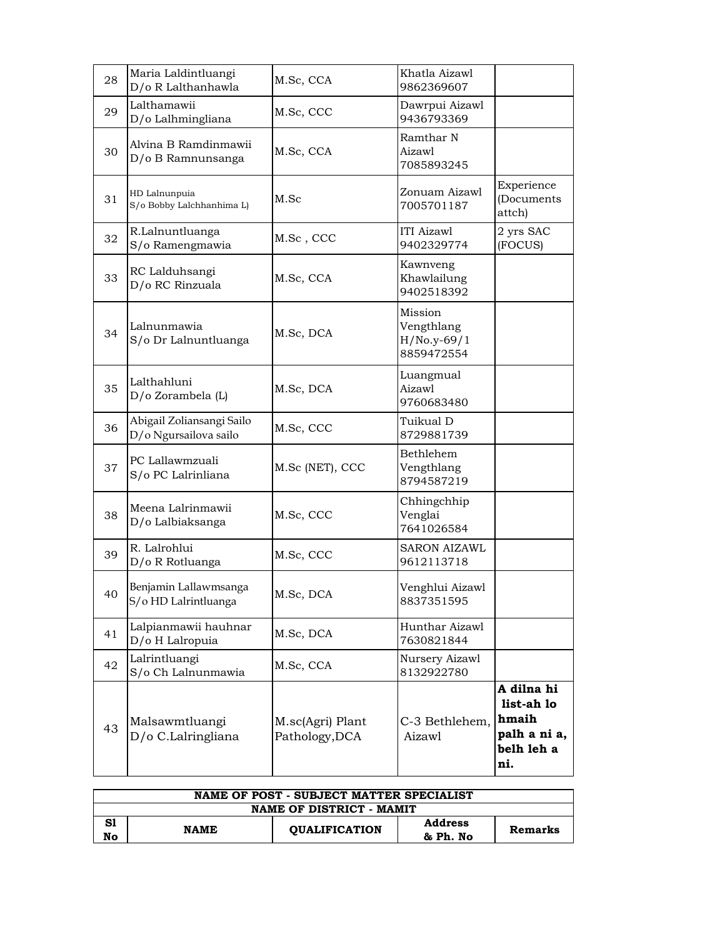| 28 | Maria Laldintluangi<br>D/o R Lalthanhawla          | M.Sc, CCA                          | Khatla Aizawl<br>9862369607                          |                                                                        |
|----|----------------------------------------------------|------------------------------------|------------------------------------------------------|------------------------------------------------------------------------|
| 29 | Lalthamawii<br>D/o Lalhmingliana                   | M.Sc, CCC                          | Dawrpui Aizawl<br>9436793369                         |                                                                        |
| 30 | Alvina B Ramdinmawii<br>D/o B Ramnunsanga          | M.Sc, CCA                          | Ramthar N<br>Aizawl<br>7085893245                    |                                                                        |
| 31 | HD Lalnunpuia<br>S/o Bobby Lalchhanhima L)         | M.Sc                               | Zonuam Aizawl<br>7005701187                          | Experience<br>(Documents<br>attch)                                     |
| 32 | R.Lalnuntluanga<br>S/o Ramengmawia                 | M.Sc, CCC                          | <b>ITI</b> Aizawl<br>9402329774                      | 2 yrs SAC<br>(FOCUS)                                                   |
| 33 | RC Lalduhsangi<br>D/o RC Rinzuala                  | M.Sc, CCA                          | Kawnveng<br>Khawlailung<br>9402518392                |                                                                        |
| 34 | Lalnunmawia<br>S/o Dr Lalnuntluanga                | M.Sc, DCA                          | Mission<br>Vengthlang<br>$H/No.y-69/1$<br>8859472554 |                                                                        |
| 35 | Lalthahluni<br>D/o Zorambela (L)                   | M.Sc, DCA                          | Luangmual<br>Aizawl<br>9760683480                    |                                                                        |
| 36 | Abigail Zoliansangi Sailo<br>D/o Ngursailova sailo | M.Sc, CCC                          | Tuikual D<br>8729881739                              |                                                                        |
| 37 | PC Lallawmzuali<br>S/o PC Lalrinliana              | M.Sc (NET), CCC                    | Bethlehem<br>Vengthlang<br>8794587219                |                                                                        |
| 38 | Meena Lalrinmawii<br>D/o Lalbiaksanga              | M.Sc, CCC                          | Chhingchhip<br>Venglai<br>7641026584                 |                                                                        |
| 39 | R. Lalrohlui<br>D/o R Rotluanga                    | M.Sc, CCC                          | <b>SARON AIZAWL</b><br>9612113718                    |                                                                        |
| 40 | Benjamin Lallawmsanga<br>S/o HD Lalrintluanga      | M.Sc, DCA                          | Venghlui Aizawl<br>8837351595                        |                                                                        |
| 41 | Lalpianmawii hauhnar<br>D/o H Lalropuia            | M.Sc, DCA                          | Hunthar Aizawl<br>7630821844                         |                                                                        |
| 42 | Lalrintluangi<br>S/o Ch Lalnunmawia                | M.Sc, CCA                          | Nursery Aizawl<br>8132922780                         |                                                                        |
| 43 | Malsawmtluangi<br>D/o C.Lalringliana               | M.sc(Agri) Plant<br>Pathology, DCA | C-3 Bethlehem,<br>Aizawl                             | A dilna hi<br>list-ah lo<br>hmaih<br>palh a ni a,<br>belh leh a<br>ni. |

| NAME OF POST - SUBJECT MATTER SPECIALIST |             |                      |                |                |  |
|------------------------------------------|-------------|----------------------|----------------|----------------|--|
| NAME OF DISTRICT - MAMIT                 |             |                      |                |                |  |
| S1                                       | <b>NAME</b> | <b>OUALIFICATION</b> | <b>Address</b> | <b>Remarks</b> |  |
| No                                       |             |                      | & Ph. No       |                |  |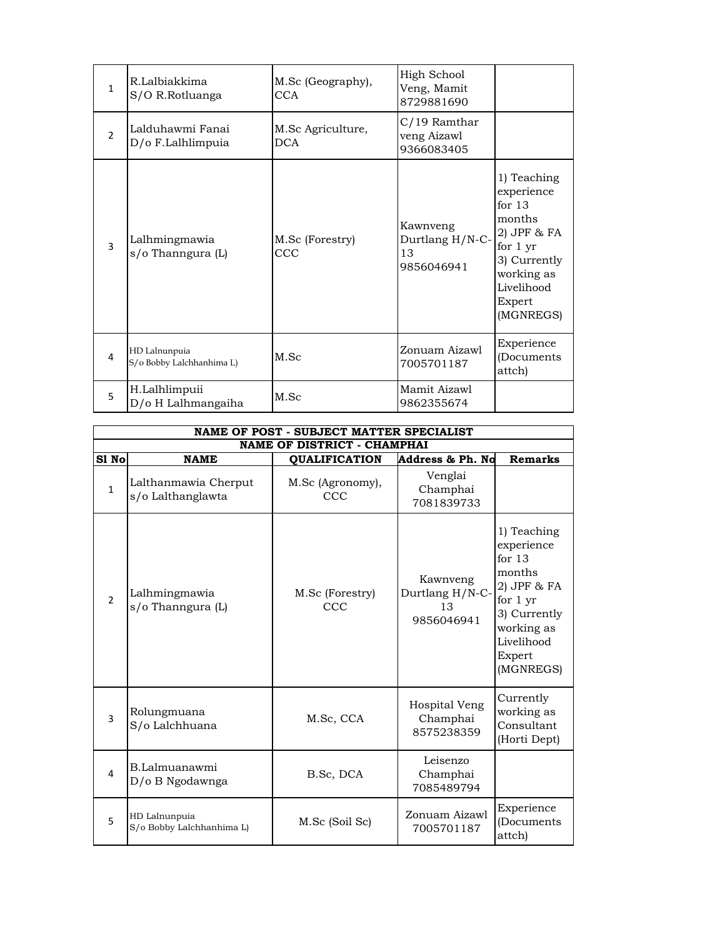| $\mathbf{1}$   | R.Lalbiakkima<br>S/O R.Rotluanga           | M.Sc (Geography),<br><b>CCA</b> | High School<br>Veng, Mamit<br>8729881690        |                                                                                                                                                    |
|----------------|--------------------------------------------|---------------------------------|-------------------------------------------------|----------------------------------------------------------------------------------------------------------------------------------------------------|
| $\mathfrak{D}$ | Lalduhawmi Fanai<br>D/o F.Lalhlimpuia      | M.Sc Agriculture,<br><b>DCA</b> | C/19 Ramthar<br>veng Aizawl<br>9366083405       |                                                                                                                                                    |
| 3              | Lalhmingmawia<br>s/o Thanngura (L)         | M.Sc (Forestry)<br>CCC          | Kawnveng<br>Durtlang H/N-C-<br>13<br>9856046941 | 1) Teaching<br>experience<br>for $13$<br>months<br>$2)$ JPF $\&$ FA<br>for 1 yr<br>3) Currently<br>working as<br>Livelihood<br>Expert<br>(MGNREGS) |
| 4              | HD Lalnunpuia<br>S/o Bobby Lalchhanhima L) | M.Sc                            | Zonuam Aizawl<br>7005701187                     | Experience<br>(Documents<br>attch)                                                                                                                 |
| 5              | H.Lalhlimpuii<br>D/o H Lalhmangaiha        | M.Sc                            | Mamit Aizawl<br>9862355674                      |                                                                                                                                                    |

|               | NAME OF POST - SUBJECT MATTER SPECIALIST   |                                    |                                                 |                                                                                                                                                      |  |
|---------------|--------------------------------------------|------------------------------------|-------------------------------------------------|------------------------------------------------------------------------------------------------------------------------------------------------------|--|
|               |                                            | <b>NAME OF DISTRICT - CHAMPHAI</b> |                                                 |                                                                                                                                                      |  |
| S1 No         | <b>NAME</b>                                | <b>QUALIFICATION</b>               | Address & Ph. No                                | <b>Remarks</b>                                                                                                                                       |  |
| $\mathbf{1}$  | Lalthanmawia Cherput<br>s/o Lalthanglawta  | M.Sc (Agronomy),<br>CCC            | Venglai<br>Champhai<br>7081839733               |                                                                                                                                                      |  |
| $\mathcal{P}$ | Lalhmingmawia<br>s/o Thanngura (L)         | M.Sc (Forestry)<br>CCC             | Kawnveng<br>Durtlang H/N-C-<br>13<br>9856046941 | 1) Teaching<br>experience<br>for $13$<br>months<br>$2)$ JPF & FA<br>for $1 \, yr$<br>3) Currently<br>working as<br>Livelihood<br>Expert<br>(MGNREGS) |  |
| 3             | Rolungmuana<br>S/o Lalchhuana              | M.Sc. CCA                          | Hospital Veng<br>Champhai<br>8575238359         | Currently<br>working as<br>Consultant<br>(Horti Dept)                                                                                                |  |
| 4             | B.Lalmuanawmi<br>D/o B Ngodawnga           | B.Sc, DCA                          | Leisenzo<br>Champhai<br>7085489794              |                                                                                                                                                      |  |
| 5             | HD Lalnunpuia<br>S/o Bobby Lalchhanhima L) | M.Sc (Soil Sc)                     | Zonuam Aizawl<br>7005701187                     | Experience<br>(Documents<br>attch)                                                                                                                   |  |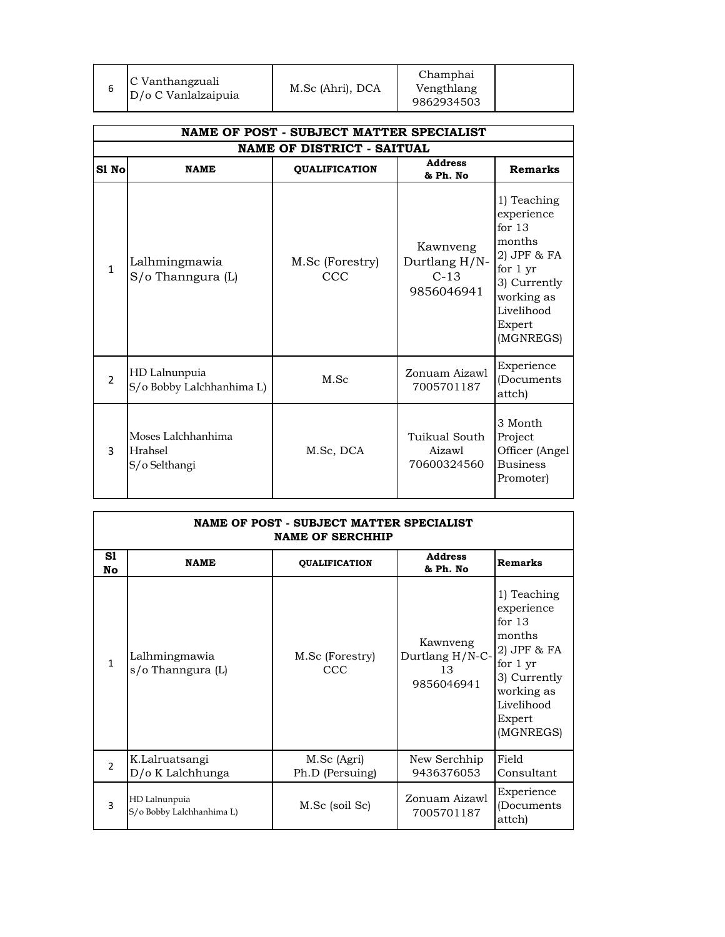|                | NAME OF POST - SUBJECT MATTER SPECIALIST       |                         |                                                   |                                                                                                                                               |  |
|----------------|------------------------------------------------|-------------------------|---------------------------------------------------|-----------------------------------------------------------------------------------------------------------------------------------------------|--|
|                | <b>NAME OF DISTRICT - SAITUAL</b>              |                         |                                                   |                                                                                                                                               |  |
| S1 No          | <b>NAME</b>                                    | <b>QUALIFICATION</b>    | <b>Address</b><br>& Ph. No                        | <b>Remarks</b>                                                                                                                                |  |
| $\mathbf{1}$   | Lalhmingmawia<br>S/o Thanngura (L)             | M.Sc (Forestry)<br>CCC. | Kawnveng<br>Durtlang H/N-<br>$C-13$<br>9856046941 | 1) Teaching<br>experience<br>for $13$<br>months<br>2) JPF & FA<br>for 1 yr<br>3) Currently<br>working as<br>Livelihood<br>Expert<br>(MGNREGS) |  |
| $\mathfrak{D}$ | HD Lalnunpuia<br>S/o Bobby Lalchhanhima L)     | M.Sc                    | Zonuam Aizawl<br>7005701187                       | Experience<br>(Documents)<br>attch)                                                                                                           |  |
| 3              | Moses Lalchhanhima<br>Hrahsel<br>S/o Selthangi | M.Sc, DCA               | Tuikual South<br>Aizawl<br>70600324560            | 3 Month<br>Project<br>Officer (Angel<br><b>Business</b><br>Promoter)                                                                          |  |

| NAME OF POST - SUBJECT MATTER SPECIALIST<br><b>NAME OF SERCHHIP</b> |                                            |                                |                                                 |                                                                                                                                                    |
|---------------------------------------------------------------------|--------------------------------------------|--------------------------------|-------------------------------------------------|----------------------------------------------------------------------------------------------------------------------------------------------------|
| S1<br>No                                                            | <b>NAME</b>                                | <b>QUALIFICATION</b>           | <b>Address</b><br>& Ph. No                      | <b>Remarks</b>                                                                                                                                     |
| $\mathbf{1}$                                                        | Lalhmingmawia<br>s/o Thanngura (L)         | M.Sc (Forestry)<br>CCC         | Kawnveng<br>Durtlang H/N-C-<br>13<br>9856046941 | 1) Teaching<br>experience<br>for $13$<br>months<br>$2)$ JPF $\&$ FA<br>for 1 yr<br>3) Currently<br>working as<br>Livelihood<br>Expert<br>(MGNREGS) |
| $\overline{2}$                                                      | K.Lalruatsangi<br>$D$ /0 K Lalchhunga      | M.Sc (Agri)<br>Ph.D (Persuing) | New Serchhip<br>9436376053                      | Field<br>Consultant                                                                                                                                |
| 3                                                                   | HD Lalnunpuia<br>S/o Bobby Lalchhanhima L) | M.Sc (soil Sc)                 | Zonuam Aizawl<br>7005701187                     | Experience<br>(Documents)<br>attch)                                                                                                                |